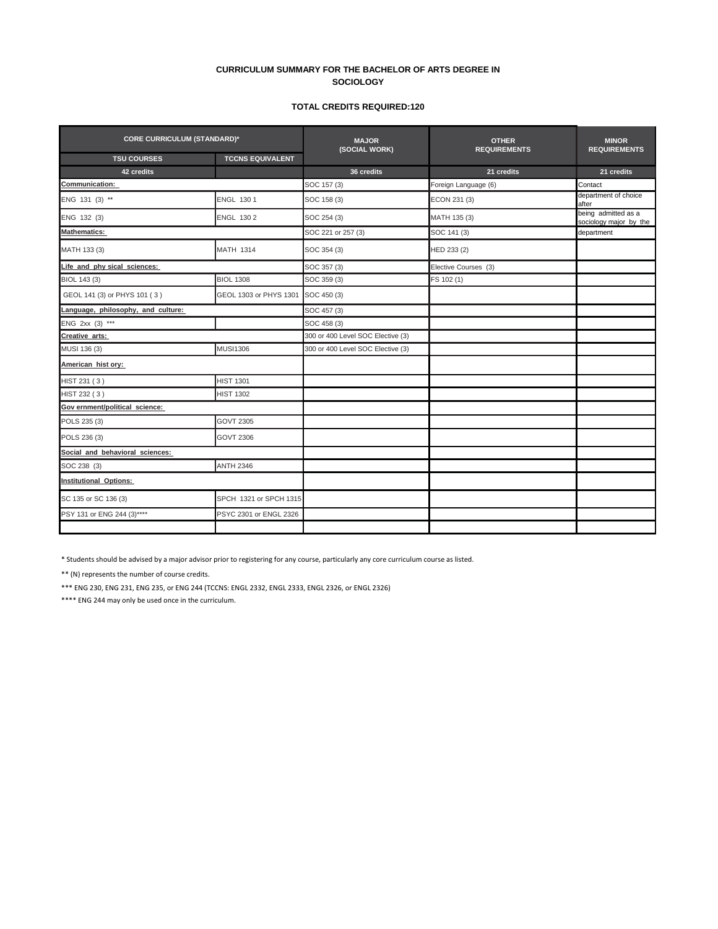## **CURRICULUM SUMMARY FOR THE BACHELOR OF ARTS DEGREE IN SOCIOLOGY**

## **TOTAL CREDITS REQUIRED:120**

| <b>CORE CURRICULUM (STANDARD)*</b> |                         | <b>MAJOR</b><br>(SOCIAL WORK)     | <b>OTHER</b><br><b>REQUIREMENTS</b> | <b>MINOR</b><br><b>REQUIREMENTS</b>           |  |
|------------------------------------|-------------------------|-----------------------------------|-------------------------------------|-----------------------------------------------|--|
| <b>TSU COURSES</b>                 | <b>TCCNS EQUIVALENT</b> |                                   |                                     |                                               |  |
| 42 credits                         |                         | 36 credits                        | 21 credits                          | 21 credits                                    |  |
| <b>Communication:</b>              |                         | SOC 157 (3)                       | Foreign Language (6)                | Contact                                       |  |
| ENG 131 (3) **                     | <b>ENGL 1301</b>        | SOC 158 (3)                       | ECON 231 (3)                        | department of choice<br>after                 |  |
| ENG 132 (3)                        | ENGL 130 2              | SOC 254 (3)                       | MATH 135 (3)                        | being admitted as a<br>sociology major by the |  |
| <b>Mathematics:</b>                |                         | SOC 221 or 257 (3)                | SOC 141 (3)                         | department                                    |  |
| MATH 133 (3)                       | <b>MATH 1314</b>        | SOC 354 (3)                       | HED 233 (2)                         |                                               |  |
| Life and phy sical sciences:       |                         | SOC 357 (3)                       | Elective Courses (3)                |                                               |  |
| BIOL 143 (3)                       | <b>BIOL 1308</b>        | SOC 359 (3)                       | FS 102 (1)                          |                                               |  |
| GEOL 141 (3) or PHYS 101 (3)       | GEOL 1303 or PHYS 1301  | SOC 450 (3)                       |                                     |                                               |  |
| Language, philosophy, and culture: |                         | SOC 457 (3)                       |                                     |                                               |  |
| ENG 2xx (3) ***                    |                         | SOC 458 (3)                       |                                     |                                               |  |
| Creative arts:                     |                         | 300 or 400 Level SOC Elective (3) |                                     |                                               |  |
| MUSI 136 (3)                       | <b>MUSI1306</b>         | 300 or 400 Level SOC Elective (3) |                                     |                                               |  |
| American hist ory:                 |                         |                                   |                                     |                                               |  |
| HIST 231 (3)                       | <b>HIST 1301</b>        |                                   |                                     |                                               |  |
| HIST 232 (3)                       | <b>HIST 1302</b>        |                                   |                                     |                                               |  |
| Gov ernment/political science:     |                         |                                   |                                     |                                               |  |
| POLS 235 (3)                       | <b>GOVT 2305</b>        |                                   |                                     |                                               |  |
| POLS 236 (3)                       | <b>GOVT 2306</b>        |                                   |                                     |                                               |  |
| Social and behavioral sciences:    |                         |                                   |                                     |                                               |  |
| SOC 238 (3)                        | <b>ANTH 2346</b>        |                                   |                                     |                                               |  |
| <b>Institutional Options:</b>      |                         |                                   |                                     |                                               |  |
| SC 135 or SC 136 (3)               | SPCH 1321 or SPCH 1315  |                                   |                                     |                                               |  |
| PSY 131 or ENG 244 (3)****         | PSYC 2301 or ENGL 2326  |                                   |                                     |                                               |  |
|                                    |                         |                                   |                                     |                                               |  |

\* Students should be advised by a major advisor prior to registering for any course, particularly any core curriculum course as listed.

\*\* (N) represents the number of course credits.

\*\*\* ENG 230, ENG 231, ENG 235, or ENG 244 (TCCNS: ENGL 2332, ENGL 2333, ENGL 2326, or ENGL 2326)

\*\*\*\* ENG 244 may only be used once in the curriculum.